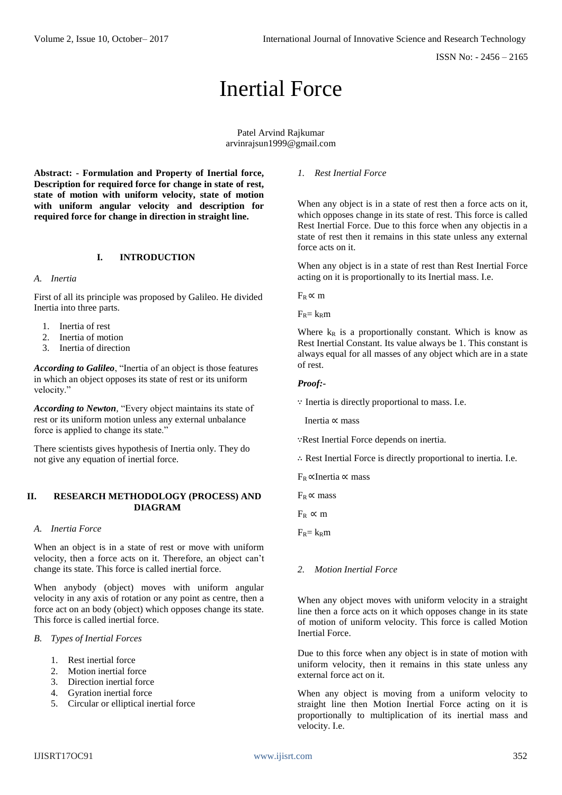# Inertial Force

Patel Arvind Rajkumar [arvinrajsun1999@gmail.com](mailto:arvinrajson1999@gmail.com)

**Abstract: - Formulation and Property of Inertial force, Description for required force for change in state of rest, state of motion with uniform velocity, state of motion with uniform angular velocity and description for required force for change in direction in straight line.** 

# **I. INTRODUCTION**

#### *A. Inertia*

First of all its principle was proposed by Galileo. He divided Inertia into three parts.

- 1. Inertia of rest
- 2. Inertia of motion
- 3. Inertia of direction

*According to Galileo*, "Inertia of an object is those features in which an object opposes its state of rest or its uniform velocity."

*According to Newton,* "Every object maintains its state of rest or its uniform motion unless any external unbalance force is applied to change its state."

There scientists gives hypothesis of Inertia only. They do not give any equation of inertial force.

#### **II. RESEARCH METHODOLOGY (PROCESS) AND DIAGRAM**

#### *A. Inertia Force*

When an object is in a state of rest or move with uniform velocity, then a force acts on it. Therefore, an object can't change its state. This force is called inertial force.

When anybody (object) moves with uniform angular velocity in any axis of rotation or any point as centre, then a force act on an body (object) which opposes change its state. This force is called inertial force.

#### *B. Types of Inertial Forces*

- 1. Rest inertial force
- 2. Motion inertial force
- 3. Direction inertial force
- 4. Gyration inertial force
- 5. Circular or elliptical inertial force

#### *1. Rest Inertial Force*

When any object is in a state of rest then a force acts on it, which opposes change in its state of rest. This force is called Rest Inertial Force. Due to this force when any objectis in a state of rest then it remains in this state unless any external force acts on it.

When any object is in a state of rest than Rest Inertial Force acting on it is proportionally to its Inertial mass. I.e.

 $F_R \propto m$ 

 $F_R = k_R m$ 

Where  $k_R$  is a proportionally constant. Which is know as Rest Inertial Constant. Its value always be 1. This constant is always equal for all masses of any object which are in a state of rest.

#### *Proof:-*

∵ Inertia is directly proportional to mass. I.e.

Inertia ∝ mass

∵Rest Inertial Force depends on inertia.

∴ Rest Inertial Force is directly proportional to inertia. I.e.

FR ∝Inertia ∝ mass

 $F_R \propto$  mass

 $F_R \propto m$ 

 $F_R = k_R m$ 

# *2. Motion Inertial Force*

When any object moves with uniform velocity in a straight line then a force acts on it which opposes change in its state of motion of uniform velocity. This force is called Motion Inertial Force.

Due to this force when any object is in state of motion with uniform velocity, then it remains in this state unless any external force act on it.

When any object is moving from a uniform velocity to straight line then Motion Inertial Force acting on it is proportionally to multiplication of its inertial mass and velocity. I.e.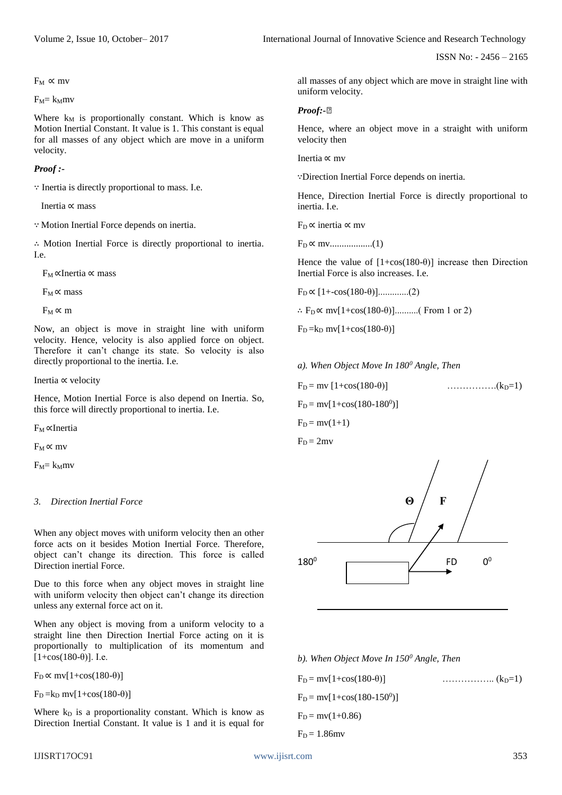Volume 2, Issue 10, October– 2017 **International Journal of Innovative Science and Research Technology** 

ISSN No: - 2456 – 2165

 $F_M \propto mv$ 

 $F_M = k_Mmv$ 

Where  $k_M$  is proportionally constant. Which is know as Motion Inertial Constant. It value is 1. This constant is equal for all masses of any object which are move in a uniform velocity.

#### *Proof :-*

∵ Inertia is directly proportional to mass. I.e.

Inertia ∝ mass

∵ Motion Inertial Force depends on inertia.

∴ Motion Inertial Force is directly proportional to inertia. I.e.

FM ∝Inertia ∝ mass

 $F_M \propto$  mass

 $F_M \propto m$ 

Now, an object is move in straight line with uniform velocity. Hence, velocity is also applied force on object. Therefore it can't change its state. So velocity is also directly proportional to the inertia. I.e.

Inertia ∝ velocity

Hence, Motion Inertial Force is also depend on Inertia. So, this force will directly proportional to inertia. I.e.

FM ∝Inertia

 $F_M \propto mv$ 

 $F_M = k_Mmv$ 

# *3. Direction Inertial Force*

When any object moves with uniform velocity then an other force acts on it besides Motion Inertial Force. Therefore, object can't change its direction. This force is called Direction inertial Force.

Due to this force when any object moves in straight line with uniform velocity then object can't change its direction unless any external force act on it.

When any object is moving from a uniform velocity to a straight line then Direction Inertial Force acting on it is proportionally to multiplication of its momentum and  $[1 + \cos(180 - \theta)]$ . I.e.

 $F_D \propto mv[1+\cos(180-\theta)]$ 

 $F_D = k_D mv[1+cos(180-\theta)]$ 

Where  $k_D$  is a proportionality constant. Which is know as Direction Inertial Constant. It value is 1 and it is equal for

all masses of any object which are move in straight line with uniform velocity.

# *Proof:-⍆*

Hence, where an object move in a straight with uniform velocity then

Inertia ∝ mv

∵Direction Inertial Force depends on inertia.

Hence, Direction Inertial Force is directly proportional to inertia. I.e.

 $F_D \propto$  inertia  $\propto mv$ 

FD ∝ mv..................(1)

Hence the value of  $[1+\cos(180-\theta)]$  increase then Direction Inertial Force is also increases. I.e.

FD ∝ [1+-cos(180-θ)].............(2)

∴  $F_D \propto mv[1+\cos(180-\theta)]$ ..........(From 1 or 2)

 $F_D = k_D mv[1+cos(180-\theta)]$ 

*a). When Object Move In 180<sup>0</sup> Angle, Then*

FD = mv [1+cos(180-θ)] …………….(kD=1)  $F_D = mv[1+\cos(180-180^\circ)]$  $F_D = mv(1+1)$  $F_D = 2mv$ 



*b). When Object Move In 150<sup>0</sup> Angle, Then*

 $F_D = mv[1+cos(180-\theta)]$  ………………………………. (k<sub>D</sub>=1)  $F_D = mv[1+\cos(180-150^0)]$  $F<sub>D</sub> = mv(1+0.86)$  $F_D = 1.86$ mv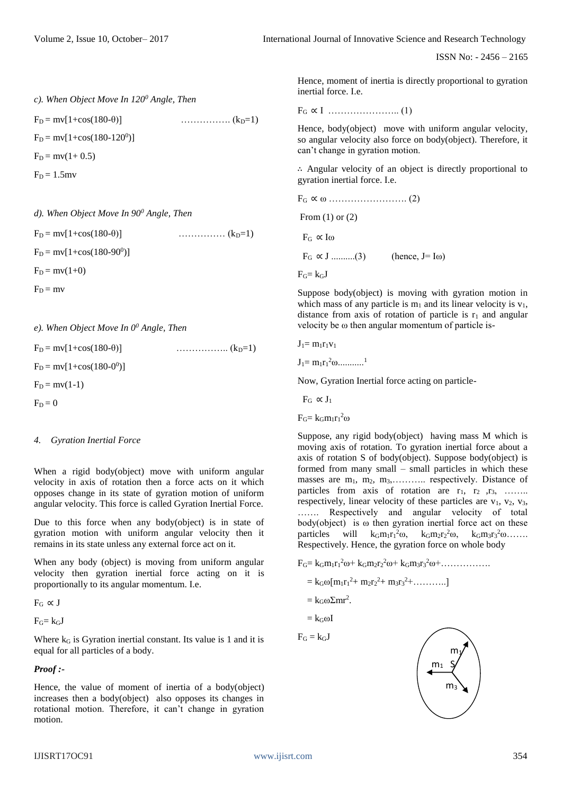Volume 2, Issue 10, October– 2017 **International Journal of Innovative Science and Research Technology** 

ISSN No: - 2456 – 2165

```
c). When Object Move In 1200 Angle, Then
```
 $F<sub>D</sub> = mv[1+cos(180-\theta)]$  ……………... (k<sub>D</sub>=1)

 $F_D = mv[1+cos(180-120^0)]$ 

 $F_D = mv(1 + 0.5)$ 

 $F_D = 1.5$ mv

*d). When Object Move In 90<sup>0</sup> Angle, Then*

FD = mv[1+cos(180-θ)] …………… (kD=1)  $F_D = mv[1+cos(180-90^0)]$  $F_D = mv(1+0)$  $F_D = mv$ 

*e). When Object Move In 0<sup>0</sup> Angle, Then*

 $F_D = mv[1+cos(180-\theta)]$  ………………………….  $(k_D=1)$  $F_D = mv[1+cos(180-0^0)]$  $F_D = mv(1-1)$  $F_D = 0$ 

# *4. Gyration Inertial Force*

When a rigid body(object) move with uniform angular velocity in axis of rotation then a force acts on it which opposes change in its state of gyration motion of uniform angular velocity. This force is called Gyration Inertial Force.

Due to this force when any body(object) is in state of gyration motion with uniform angular velocity then it remains in its state unless any external force act on it.

When any body (object) is moving from uniform angular velocity then gyration inertial force acting on it is proportionally to its angular momentum. I.e.

 $F_G \propto J$ 

 $F_G= k_GJ$ 

Where  $k_G$  is Gyration inertial constant. Its value is 1 and it is equal for all particles of a body.

# *Proof :-*

Hence, the value of moment of inertia of a body(object) increases then a body(object) also opposes its changes in rotational motion. Therefore, it can't change in gyration motion.

Hence, moment of inertia is directly proportional to gyration inertial force. I.e.

FG ∝ I ………………….. (1)

Hence, body(object) move with uniform angular velocity, so angular velocity also force on body(object). Therefore, it can't change in gyration motion.

∴ Angular velocity of an object is directly proportional to gyration inertial force. I.e.

FG ∝ ω ……………………. (2) From (1) or (2)  $F_G \propto I\omega$  $F_G \propto J$  ...........(3) (hence, J= Iω)  $F_G = k_G J$ 

Suppose body(object) is moving with gyration motion in which mass of any particle is  $m_1$  and its linear velocity is  $v_1$ , distance from axis of rotation of particle is  $r_1$  and angular velocity be ω then angular momentum of particle is-

$$
J_1 = m_1 r_1 v_1
$$

 $J_1 = m_1 r_1^2 \omega \dots \dots \dots \dots$ <sup>1</sup>

Now, Gyration Inertial force acting on particle-

 $F_G \propto J_1$ 

 $F_G = k_G m_1 r_1^2 \omega$ 

Suppose, any rigid body(object) having mass M which is moving axis of rotation. To gyration inertial force about a axis of rotation S of body(object). Suppose body(object) is formed from many small – small particles in which these masses are  $m_1$ ,  $m_2$ ,  $m_3$ , ............. respectively. Distance of particles from axis of rotation are  $r_1$ ,  $r_2$ ,  $r_3$ , …….. respectively, linear velocity of these particles are  $v_1$ ,  $v_2$ ,  $v_3$ , ……. Respectively and angular velocity of total  $body(object)$  is  $\omega$  then gyration inertial force act on these particles will  $k_G m_1 r_1^2 \omega$ ,  $k_G m_2 r_2^2 \omega$ ,  $k_G m_3 r_3^2 \omega$ ...... Respectively. Hence, the gyration force on whole body

 $F_G = k_G m_1 r_1^2 \omega + k_G m_2 r_2^2 \omega + k_G m_3 r_3^2 \omega + \dots$ 

 $= k_G\omega[m_1r_1^2 + m_2r_2^2 + m_3r_3^2 + \dots]$ 

 $= k_G \omega \Sigma m r^2$ .

 $=$  k<sub>G</sub> $\omega$ I

$$
F_G = k_G \mathbf{J}
$$

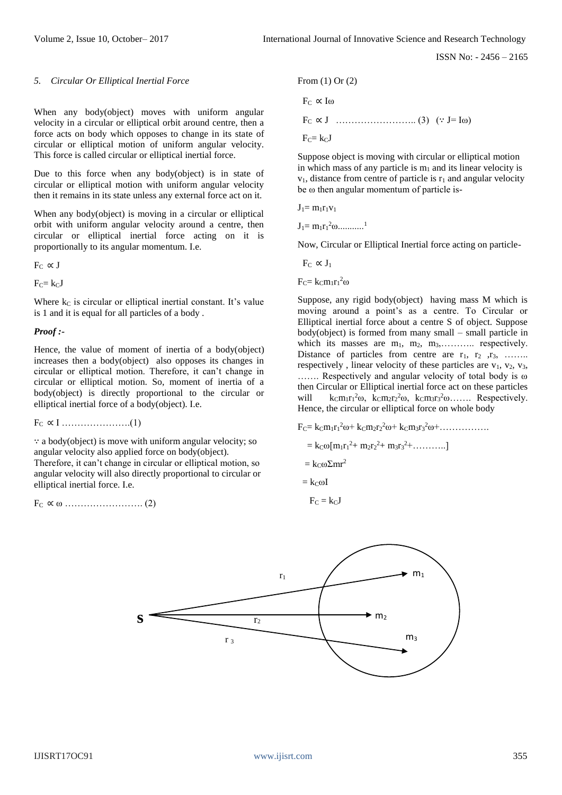#### *5. Circular Or Elliptical Inertial Force*

When any body(object) moves with uniform angular velocity in a circular or elliptical orbit around centre, then a force acts on body which opposes to change in its state of circular or elliptical motion of uniform angular velocity. This force is called circular or elliptical inertial force.

Due to this force when any body(object) is in state of circular or elliptical motion with uniform angular velocity then it remains in its state unless any external force act on it.

When any body(object) is moving in a circular or elliptical orbit with uniform angular velocity around a centre, then circular or elliptical inertial force acting on it is proportionally to its angular momentum. I.e.

 $F_C \propto J$ 

 $F_C = k_C J$ 

Where  $k<sub>C</sub>$  is circular or elliptical inertial constant. It's value is 1 and it is equal for all particles of a body .

#### *Proof :-*

Hence, the value of moment of inertia of a body(object) increases then a body(object) also opposes its changes in circular or elliptical motion. Therefore, it can't change in circular or elliptical motion. So, moment of inertia of a body(object) is directly proportional to the circular or elliptical inertial force of a body(object). I.e.

FC ∝ I ………………….(1)

∵ a body(object) is move with uniform angular velocity; so angular velocity also applied force on body(object). Therefore, it can't change in circular or elliptical motion, so angular velocity will also directly proportional to circular or

elliptical inertial force. I.e.

FC ∝ ω ……………………. (2)

From (1) Or (2)  $Fe \propto I$ ω FC ∝ J …………………….. (3) (∵ J= Iω)  $Fc = kcJ$ 

Suppose object is moving with circular or elliptical motion in which mass of any particle is  $m_1$  and its linear velocity is  $v_1$ , distance from centre of particle is  $r_1$  and angular velocity be ω then angular momentum of particle is-

 $J_1 = m_1r_1v_1$ 

 $J_1 = m_1 r_1^2 \omega \dots \dots \dots \dots$ <sup>1</sup>

Now, Circular or Elliptical Inertial force acting on particle-

 $F_C \propto J_1$ 

 $F_C = k_C m_1 r_1^2 \omega$ 

Suppose, any rigid body(object) having mass M which is moving around a point's as a centre. To Circular or Elliptical inertial force about a centre S of object. Suppose body(object) is formed from many small – small particle in which its masses are  $m_1$ ,  $m_2$ ,  $m_3$ , ........... respectively. Distance of particles from centre are  $r_1$ ,  $r_2$ ,  $r_3$ , …….. respectively, linear velocity of these particles are  $v_1$ ,  $v_2$ ,  $v_3$ , ……. Respectively and angular velocity of total body is ω then Circular or Elliptical inertial force act on these particles will  $k_{\text{C}}m_1r_1^2\omega$ ,  $k_{\text{C}}m_2r_2^2\omega$ ,  $k_{\text{C}}m_3r_3^2\omega$ ...... Respectively. Hence, the circular or elliptical force on whole body

 $F_C = k_C m_1 r_1^2 \omega + k_C m_2 r_2^2 \omega + k_C m_3 r_3^2 \omega + \dots$ 

$$
= k_{C} \omega [m_{1}r_{1}^{2} + m_{2}r_{2}^{2} + m_{3}r_{3}^{2} + \dots \dots ]
$$

 $= k \infty \Sigma m r^2$ 

 $=$  kc $\omega I$ 

 $F_C = k_C J$ 

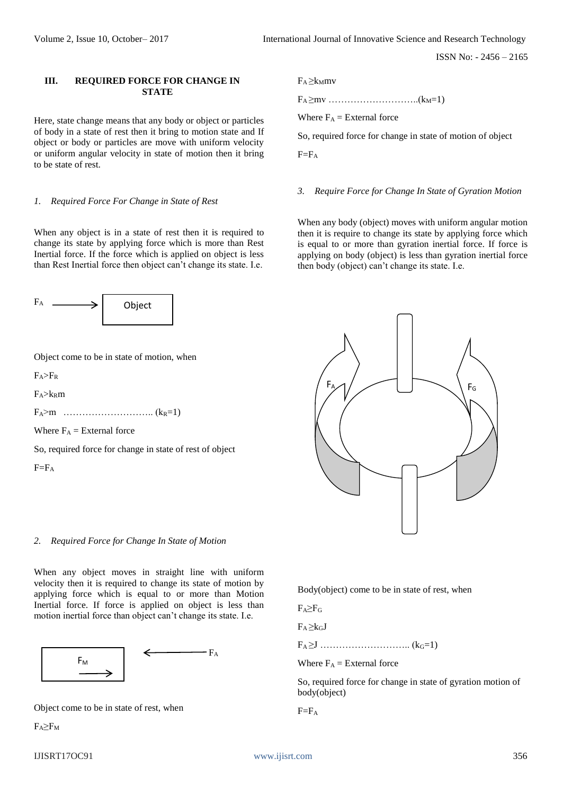# **III. REQUIRED FORCE FOR CHANGE IN STATE**

Here, state change means that any body or object or particles of body in a state of rest then it bring to motion state and If object or body or particles are move with uniform velocity or uniform angular velocity in state of motion then it bring to be state of rest.

#### *1. Required Force For Change in State of Rest*

When any object is in a state of rest then it is required to change its state by applying force which is more than Rest Inertial force. If the force which is applied on object is less than Rest Inertial force then object can't change its state. I.e.



Object come to be in state of motion, when

 $F_A > F_R$ 

 $F_A > k_R m$ 

FA>m ……………………….. (kR=1)

Where  $F_A$  = External force

So, required force for change in state of rest of object

 $F=F_A$ 

# *2. Required Force for Change In State of Motion*

When any object moves in straight line with uniform velocity then it is required to change its state of motion by applying force which is equal to or more than Motion Inertial force. If force is applied on object is less than motion inertial force than object can't change its state. I.e.



Object come to be in state of rest, when

 $F_A \geq F_M$ 

# $F_A \geq k_Mmv$

FA ≥mv ………………………..(kM=1)

Where  $F_A$  = External force

So, required force for change in state of motion of object

 $F=F_A$ 

#### *3. Require Force for Change In State of Gyration Motion*

When any body (object) moves with uniform angular motion then it is require to change its state by applying force which is equal to or more than gyration inertial force. If force is applying on body (object) is less than gyration inertial force then body (object) can't change its state. I.e.



Body(object) come to be in state of rest, when

 $F_A \geq F_G$ 

 $F_A > k_G J$ 

FA ≥J ……………………….. (kG=1)

Where  $F_A$  = External force

So, required force for change in state of gyration motion of body(object)

 $F=F_A$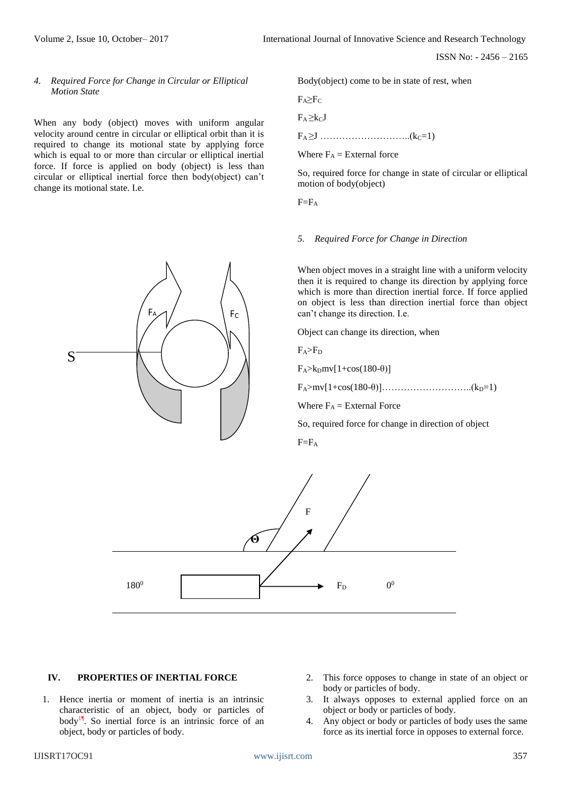*4. Required Force for Change in Circular or Elliptical Motion State*

When any body (object) moves with uniform angular velocity around centre in circular or elliptical orbit than it is required to change its motional state by applying force which is equal to or more than circular or elliptical inertial force. If force is applied on body (object) is less than circular or elliptical inertial force then body(object) can't change its motional state. I.e.

F<sub>A</sub>

Body(object) come to be in state of rest, when

 $F_A \geq F_C$ 

 $F_A \geq k_C J$ 

FA ≥J ………………………..(kC=1)

Where  $F_A$  = External force

So, required force for change in state of circular or elliptical motion of body(object)

 $F=F_A$ 

#### *5. Required Force for Change in Direction*

When object moves in a straight line with a uniform velocity then it is required to change its direction by applying force which is more than direction inertial force. If force applied on object is less than direction inertial force than object can't change its direction. I.e.

Object can change its direction, when

 $F_A > F_D$ 

FC

 $F_A > k_D mv[1+cos(180-\theta)]$ 

FA>mv[1+cos(180-θ)]………………………..(kD=1)

Where  $F_A =$  External Force

So, required force for change in direction of object

 $F=F_A$ 



#### **IV. PROPERTIES OF INERTIAL FORCE**

- 1. Hence inertia or moment of inertia is an intrinsic characteristic of an object, body or particles of body1¶. So inertial force is an intrinsic force of an object, body or particles of body.
- 2. This force opposes to change in state of an object or body or particles of body.
- 3. It always opposes to external applied force on an object or body or particles of body.
- 4. Any object or body or particles of body uses the same force as its inertial force in opposes to external force.

S